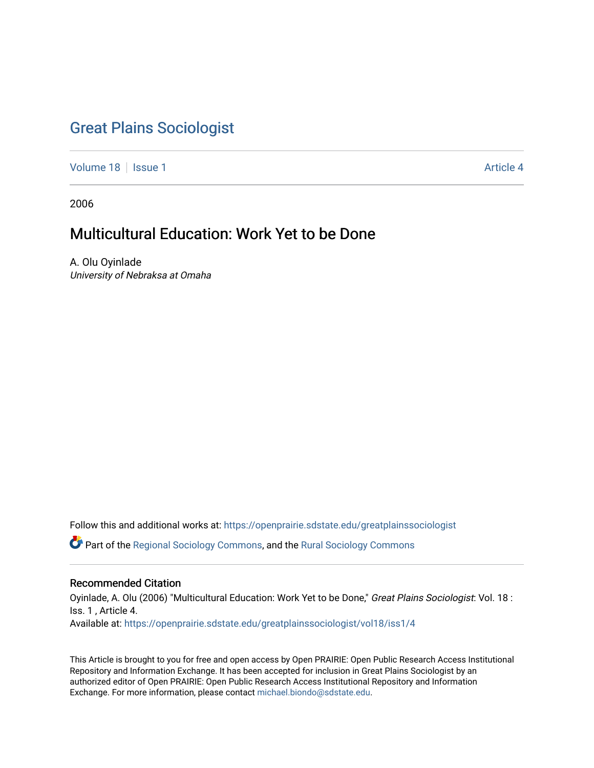## [Great Plains Sociologist](https://openprairie.sdstate.edu/greatplainssociologist)

[Volume 18](https://openprairie.sdstate.edu/greatplainssociologist/vol18) | [Issue 1](https://openprairie.sdstate.edu/greatplainssociologist/vol18/iss1) Article 4

2006

# Multicultural Education: Work Yet to be Done

A. Olu Oyinlade University of Nebraksa at Omaha

Follow this and additional works at: [https://openprairie.sdstate.edu/greatplainssociologist](https://openprairie.sdstate.edu/greatplainssociologist?utm_source=openprairie.sdstate.edu%2Fgreatplainssociologist%2Fvol18%2Fiss1%2F4&utm_medium=PDF&utm_campaign=PDFCoverPages) 

Part of the [Regional Sociology Commons](http://network.bepress.com/hgg/discipline/427?utm_source=openprairie.sdstate.edu%2Fgreatplainssociologist%2Fvol18%2Fiss1%2F4&utm_medium=PDF&utm_campaign=PDFCoverPages), and the [Rural Sociology Commons](http://network.bepress.com/hgg/discipline/428?utm_source=openprairie.sdstate.edu%2Fgreatplainssociologist%2Fvol18%2Fiss1%2F4&utm_medium=PDF&utm_campaign=PDFCoverPages) 

## Recommended Citation

Oyinlade, A. Olu (2006) "Multicultural Education: Work Yet to be Done," Great Plains Sociologist: Vol. 18 : Iss. 1 , Article 4. Available at: [https://openprairie.sdstate.edu/greatplainssociologist/vol18/iss1/4](https://openprairie.sdstate.edu/greatplainssociologist/vol18/iss1/4?utm_source=openprairie.sdstate.edu%2Fgreatplainssociologist%2Fvol18%2Fiss1%2F4&utm_medium=PDF&utm_campaign=PDFCoverPages)

This Article is brought to you for free and open access by Open PRAIRIE: Open Public Research Access Institutional Repository and Information Exchange. It has been accepted for inclusion in Great Plains Sociologist by an authorized editor of Open PRAIRIE: Open Public Research Access Institutional Repository and Information Exchange. For more information, please contact [michael.biondo@sdstate.edu.](mailto:michael.biondo@sdstate.edu)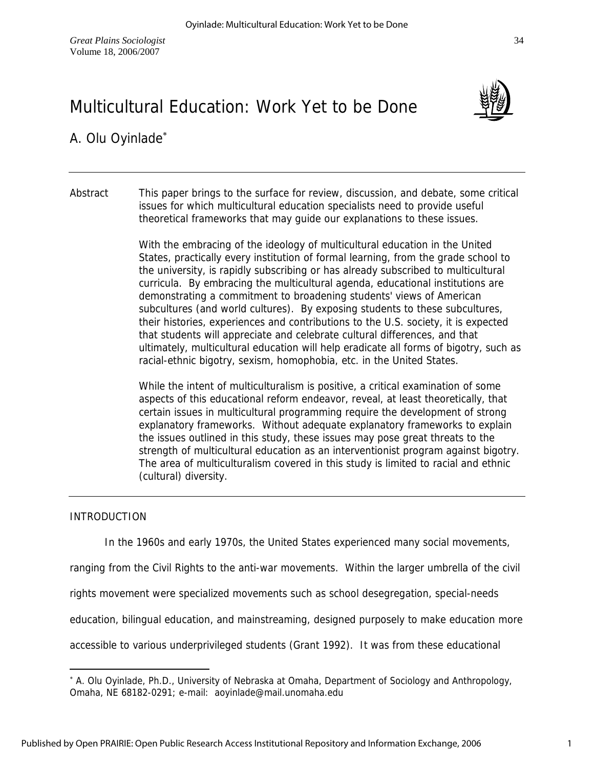



A. Olu Oyinlade<sup>∗</sup>

Abstract This paper brings to the surface for review, discussion, and debate, some critical issues for which multicultural education specialists need to provide useful theoretical frameworks that may guide our explanations to these issues.

> With the embracing of the ideology of multicultural education in the United States, practically every institution of formal learning, from the grade school to the university, is rapidly subscribing or has already subscribed to multicultural curricula. By embracing the multicultural agenda, educational institutions are demonstrating a commitment to broadening students' views of American subcultures (and world cultures). By exposing students to these subcultures, their histories, experiences and contributions to the U.S. society, it is expected that students will appreciate and celebrate cultural differences, and that ultimately, multicultural education will help eradicate all forms of bigotry, such as racial-ethnic bigotry, sexism, homophobia, etc. in the United States.

> While the intent of multiculturalism is positive, a critical examination of some aspects of this educational reform endeavor, reveal, at least theoretically, that certain issues in multicultural programming require the development of strong explanatory frameworks. Without adequate explanatory frameworks to explain the issues outlined in this study, these issues may pose great threats to the strength of multicultural education as an interventionist program against bigotry. The area of multiculturalism covered in this study is limited to racial and ethnic (cultural) diversity.

## INTRODUCTION

 $\overline{a}$ 

In the 1960s and early 1970s, the United States experienced many social movements,

ranging from the Civil Rights to the anti-war movements. Within the larger umbrella of the civil

rights movement were specialized movements such as school desegregation, special-needs

education, bilingual education, and mainstreaming, designed purposely to make education more

accessible to various underprivileged students (Grant 1992). It was from these educational

<sup>∗</sup> A. Olu Oyinlade, Ph.D., University of Nebraska at Omaha, Department of Sociology and Anthropology, Omaha, NE 68182-0291; e-mail: aoyinlade@mail.unomaha.edu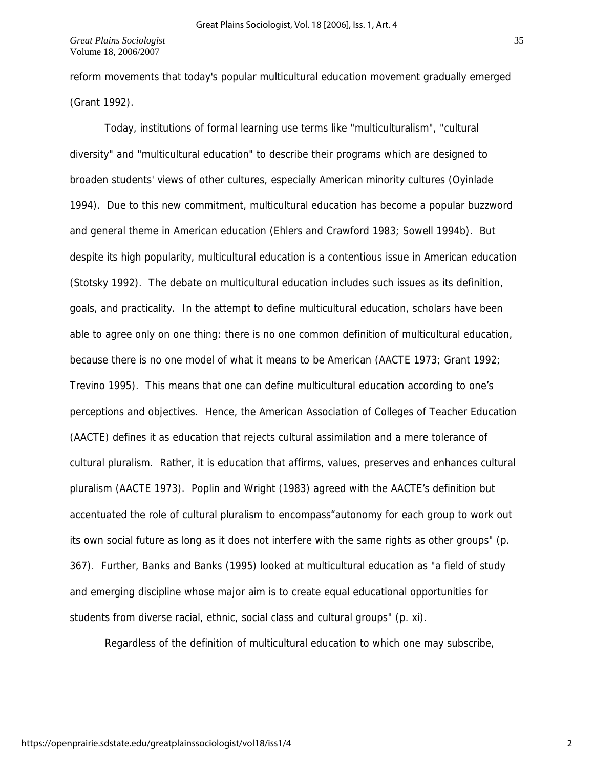reform movements that today's popular multicultural education movement gradually emerged (Grant 1992).

 Today, institutions of formal learning use terms like "multiculturalism", "cultural diversity" and "multicultural education" to describe their programs which are designed to broaden students' views of other cultures, especially American minority cultures (Oyinlade 1994). Due to this new commitment, multicultural education has become a popular buzzword and general theme in American education (Ehlers and Crawford 1983; Sowell 1994b). But despite its high popularity, multicultural education is a contentious issue in American education (Stotsky 1992). The debate on multicultural education includes such issues as its definition, goals, and practicality. In the attempt to define multicultural education, scholars have been able to agree only on one thing: there is no one common definition of multicultural education, because there is no one model of what it means to be American (AACTE 1973; Grant 1992; Trevino 1995). This means that one can define multicultural education according to one's perceptions and objectives. Hence, the American Association of Colleges of Teacher Education (AACTE) defines it as education that rejects cultural assimilation and a mere tolerance of cultural pluralism. Rather, it is education that affirms, values, preserves and enhances cultural pluralism (AACTE 1973). Poplin and Wright (1983) agreed with the AACTE's definition but accentuated the role of cultural pluralism to encompass"autonomy for each group to work out its own social future as long as it does not interfere with the same rights as other groups" (p. 367). Further, Banks and Banks (1995) looked at multicultural education as "a field of study and emerging discipline whose major aim is to create equal educational opportunities for students from diverse racial, ethnic, social class and cultural groups" (p. xi).

Regardless of the definition of multicultural education to which one may subscribe,

2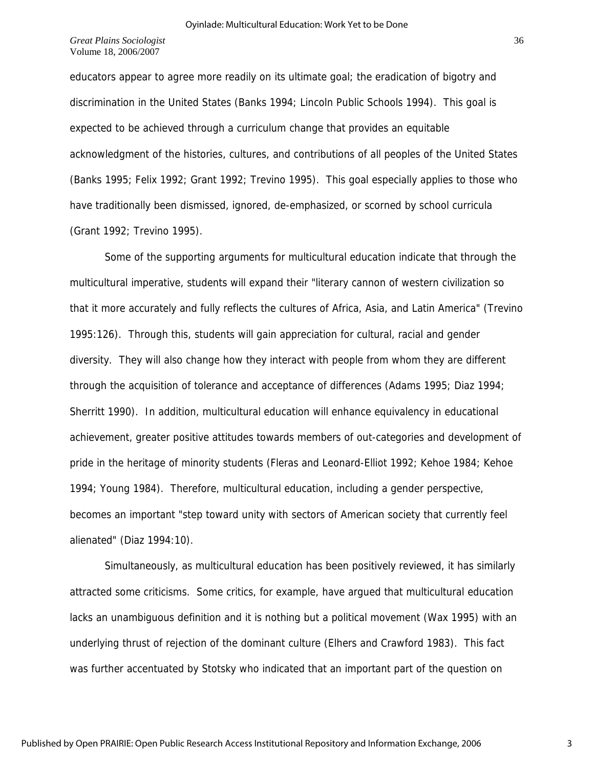educators appear to agree more readily on its ultimate goal; the eradication of bigotry and discrimination in the United States (Banks 1994; Lincoln Public Schools 1994). This goal is expected to be achieved through a curriculum change that provides an equitable acknowledgment of the histories, cultures, and contributions of all peoples of the United States (Banks 1995; Felix 1992; Grant 1992; Trevino 1995). This goal especially applies to those who have traditionally been dismissed, ignored, de-emphasized, or scorned by school curricula (Grant 1992; Trevino 1995).

 Some of the supporting arguments for multicultural education indicate that through the multicultural imperative, students will expand their "literary cannon of western civilization so that it more accurately and fully reflects the cultures of Africa, Asia, and Latin America" (Trevino 1995:126). Through this, students will gain appreciation for cultural, racial and gender diversity. They will also change how they interact with people from whom they are different through the acquisition of tolerance and acceptance of differences (Adams 1995; Diaz 1994; Sherritt 1990). In addition, multicultural education will enhance equivalency in educational achievement, greater positive attitudes towards members of out-categories and development of pride in the heritage of minority students (Fleras and Leonard-Elliot 1992; Kehoe 1984; Kehoe 1994; Young 1984). Therefore, multicultural education, including a gender perspective, becomes an important "step toward unity with sectors of American society that currently feel alienated" (Diaz 1994:10).

 Simultaneously, as multicultural education has been positively reviewed, it has similarly attracted some criticisms. Some critics, for example, have argued that multicultural education lacks an unambiguous definition and it is nothing but a political movement (Wax 1995) with an underlying thrust of rejection of the dominant culture (Elhers and Crawford 1983). This fact was further accentuated by Stotsky who indicated that an important part of the question on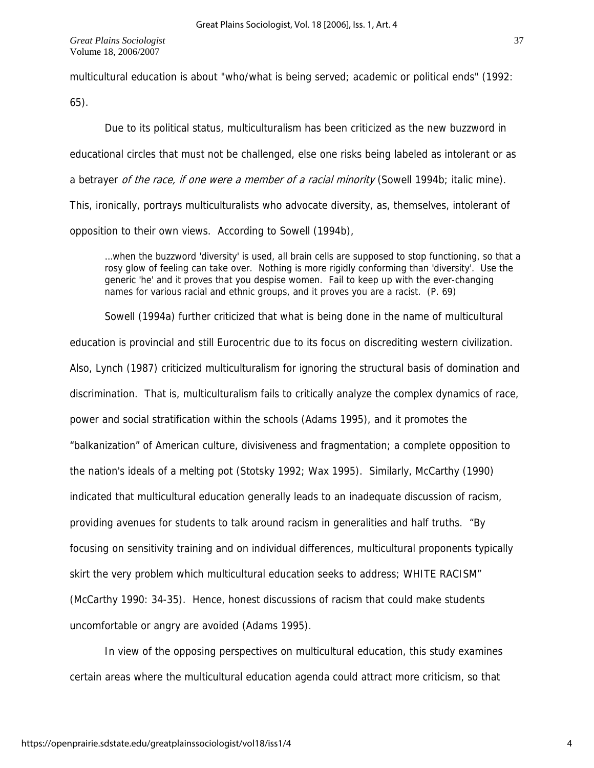multicultural education is about "who/what is being served; academic or political ends" (1992:

65).

Due to its political status, multiculturalism has been criticized as the new buzzword in educational circles that must not be challenged, else one risks being labeled as intolerant or as a betrayer of the race, if one were a member of a racial minority (Sowell 1994b; italic mine). This, ironically, portrays multiculturalists who advocate diversity, as, themselves, intolerant of opposition to their own views. According to Sowell (1994b),

…when the buzzword 'diversity' is used, all brain cells are supposed to stop functioning, so that a rosy glow of feeling can take over. Nothing is more rigidly conforming than 'diversity'. Use the generic 'he' and it proves that you despise women. Fail to keep up with the ever-changing names for various racial and ethnic groups, and it proves you are a racist. (P. 69)

 Sowell (1994a) further criticized that what is being done in the name of multicultural education is provincial and still Eurocentric due to its focus on discrediting western civilization. Also, Lynch (1987) criticized multiculturalism for ignoring the structural basis of domination and discrimination. That is, multiculturalism fails to critically analyze the complex dynamics of race, power and social stratification within the schools (Adams 1995), and it promotes the "balkanization" of American culture, divisiveness and fragmentation; a complete opposition to the nation's ideals of a melting pot (Stotsky 1992; Wax 1995). Similarly, McCarthy (1990) indicated that multicultural education generally leads to an inadequate discussion of racism, providing avenues for students to talk around racism in generalities and half truths. "By focusing on sensitivity training and on individual differences, multicultural proponents typically skirt the very problem which multicultural education seeks to address; WHITE RACISM" (McCarthy 1990: 34-35). Hence, honest discussions of racism that could make students uncomfortable or angry are avoided (Adams 1995).

In view of the opposing perspectives on multicultural education, this study examines certain areas where the multicultural education agenda could attract more criticism, so that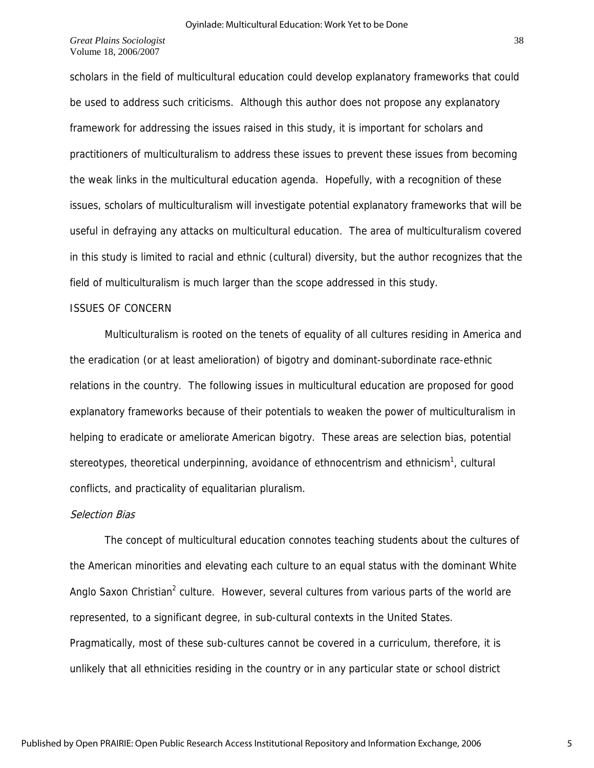scholars in the field of multicultural education could develop explanatory frameworks that could be used to address such criticisms. Although this author does not propose any explanatory framework for addressing the issues raised in this study, it is important for scholars and practitioners of multiculturalism to address these issues to prevent these issues from becoming the weak links in the multicultural education agenda. Hopefully, with a recognition of these issues, scholars of multiculturalism will investigate potential explanatory frameworks that will be useful in defraying any attacks on multicultural education. The area of multiculturalism covered in this study is limited to racial and ethnic (cultural) diversity, but the author recognizes that the field of multiculturalism is much larger than the scope addressed in this study.

#### ISSUES OF CONCERN

 Multiculturalism is rooted on the tenets of equality of all cultures residing in America and the eradication (or at least amelioration) of bigotry and dominant-subordinate race-ethnic relations in the country. The following issues in multicultural education are proposed for good explanatory frameworks because of their potentials to weaken the power of multiculturalism in helping to eradicate or ameliorate American bigotry. These areas are selection bias, potential stereotypes, theoretical underpinning, avoidance of ethnocentrism and ethnicism<sup>1</sup>, cultural conflicts, and practicality of equalitarian pluralism.

#### Selection Bias

 The concept of multicultural education connotes teaching students about the cultures of the American minorities and elevating each culture to an equal status with the dominant White Anglo Saxon Christian<sup>2</sup> culture. However, several cultures from various parts of the world are represented, to a significant degree, in sub-cultural contexts in the United States. Pragmatically, most of these sub-cultures cannot be covered in a curriculum, therefore, it is unlikely that all ethnicities residing in the country or in any particular state or school district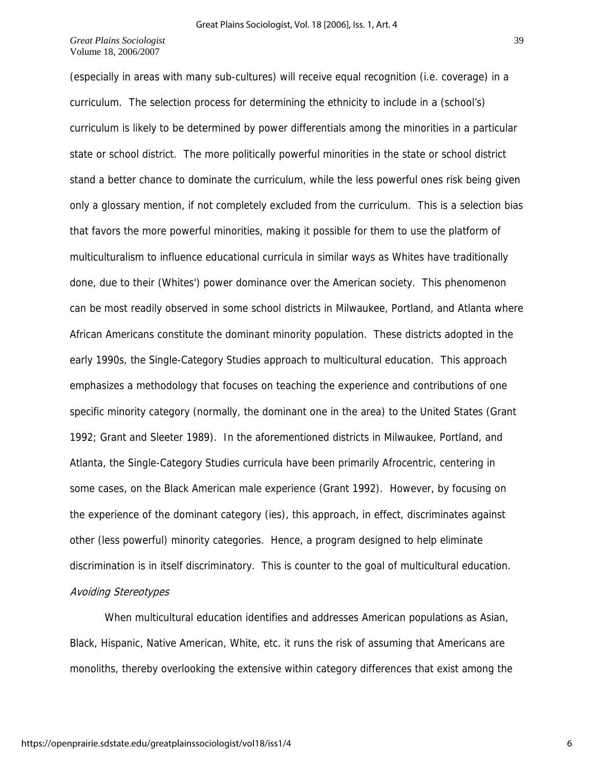(especially in areas with many sub-cultures) will receive equal recognition (i.e. coverage) in a curriculum. The selection process for determining the ethnicity to include in a (school's) curriculum is likely to be determined by power differentials among the minorities in a particular state or school district. The more politically powerful minorities in the state or school district stand a better chance to dominate the curriculum, while the less powerful ones risk being given only a glossary mention, if not completely excluded from the curriculum. This is a selection bias that favors the more powerful minorities, making it possible for them to use the platform of multiculturalism to influence educational curricula in similar ways as Whites have traditionally done, due to their (Whites') power dominance over the American society. This phenomenon can be most readily observed in some school districts in Milwaukee, Portland, and Atlanta where African Americans constitute the dominant minority population. These districts adopted in the early 1990s, the Single-Category Studies approach to multicultural education. This approach emphasizes a methodology that focuses on teaching the experience and contributions of one specific minority category (normally, the dominant one in the area) to the United States (Grant 1992; Grant and Sleeter 1989). In the aforementioned districts in Milwaukee, Portland, and Atlanta, the Single-Category Studies curricula have been primarily Afrocentric, centering in some cases, on the Black American male experience (Grant 1992). However, by focusing on the experience of the dominant category (ies), this approach, in effect, discriminates against other (less powerful) minority categories. Hence, a program designed to help eliminate discrimination is in itself discriminatory. This is counter to the goal of multicultural education. Avoiding Stereotypes

When multicultural education identifies and addresses American populations as Asian, Black, Hispanic, Native American, White, etc. it runs the risk of assuming that Americans are monoliths, thereby overlooking the extensive within category differences that exist among the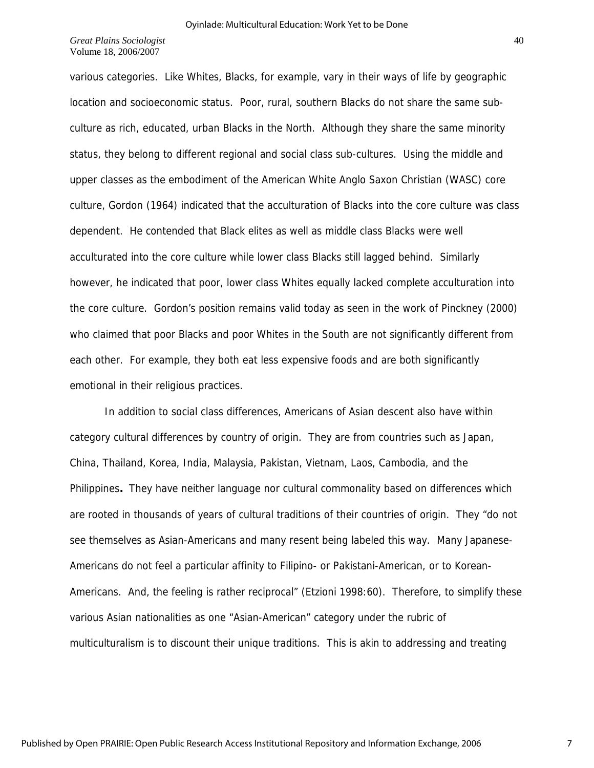various categories. Like Whites, Blacks, for example, vary in their ways of life by geographic location and socioeconomic status. Poor, rural, southern Blacks do not share the same subculture as rich, educated, urban Blacks in the North. Although they share the same minority status, they belong to different regional and social class sub-cultures. Using the middle and upper classes as the embodiment of the American White Anglo Saxon Christian (WASC) core culture, Gordon (1964) indicated that the acculturation of Blacks into the core culture was class dependent. He contended that Black elites as well as middle class Blacks were well acculturated into the core culture while lower class Blacks still lagged behind. Similarly however, he indicated that poor, lower class Whites equally lacked complete acculturation into the core culture. Gordon's position remains valid today as seen in the work of Pinckney (2000) who claimed that poor Blacks and poor Whites in the South are not significantly different from each other. For example, they both eat less expensive foods and are both significantly emotional in their religious practices.

 In addition to social class differences, Americans of Asian descent also have within category cultural differences by country of origin. They are from countries such as Japan, China, Thailand, Korea, India, Malaysia, Pakistan, Vietnam, Laos, Cambodia, and the Philippines**.** They have neither language nor cultural commonality based on differences which are rooted in thousands of years of cultural traditions of their countries of origin. They "do not see themselves as Asian-Americans and many resent being labeled this way. Many Japanese-Americans do not feel a particular affinity to Filipino- or Pakistani-American, or to Korean-Americans. And, the feeling is rather reciprocal" (Etzioni 1998:60). Therefore, to simplify these various Asian nationalities as one "Asian-American" category under the rubric of multiculturalism is to discount their unique traditions. This is akin to addressing and treating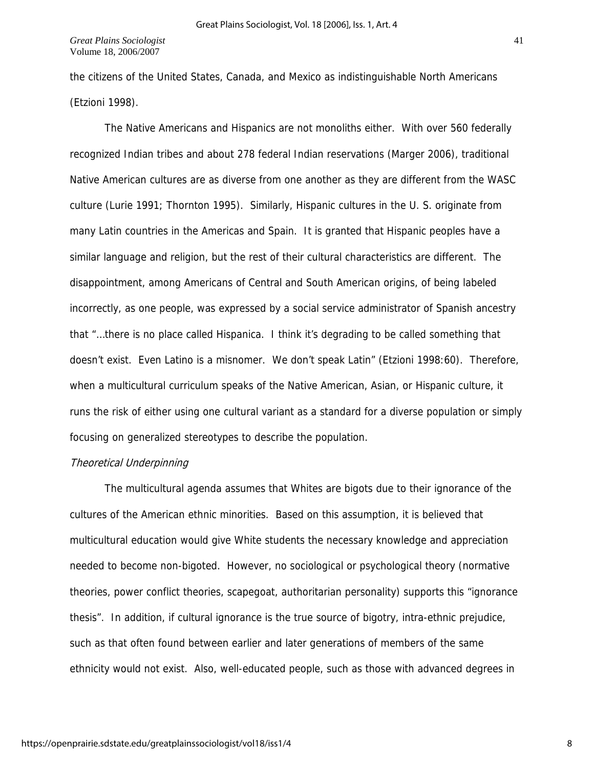the citizens of the United States, Canada, and Mexico as indistinguishable North Americans (Etzioni 1998).

 The Native Americans and Hispanics are not monoliths either. With over 560 federally recognized Indian tribes and about 278 federal Indian reservations (Marger 2006), traditional Native American cultures are as diverse from one another as they are different from the WASC culture (Lurie 1991; Thornton 1995). Similarly, Hispanic cultures in the U. S. originate from many Latin countries in the Americas and Spain. It is granted that Hispanic peoples have a similar language and religion, but the rest of their cultural characteristics are different. The disappointment, among Americans of Central and South American origins, of being labeled incorrectly, as one people, was expressed by a social service administrator of Spanish ancestry that "…there is no place called Hispanica. I think it's degrading to be called something that doesn't exist. Even Latino is a misnomer. We don't speak Latin" (Etzioni 1998:60). Therefore, when a multicultural curriculum speaks of the Native American, Asian, or Hispanic culture, it runs the risk of either using one cultural variant as a standard for a diverse population or simply focusing on generalized stereotypes to describe the population.

### **Theoretical Underpinning**

The multicultural agenda assumes that Whites are bigots due to their ignorance of the cultures of the American ethnic minorities. Based on this assumption, it is believed that multicultural education would give White students the necessary knowledge and appreciation needed to become non-bigoted. However, no sociological or psychological theory (normative theories, power conflict theories, scapegoat, authoritarian personality) supports this "ignorance thesis". In addition, if cultural ignorance is the true source of bigotry, intra-ethnic prejudice, such as that often found between earlier and later generations of members of the same ethnicity would not exist. Also, well-educated people, such as those with advanced degrees in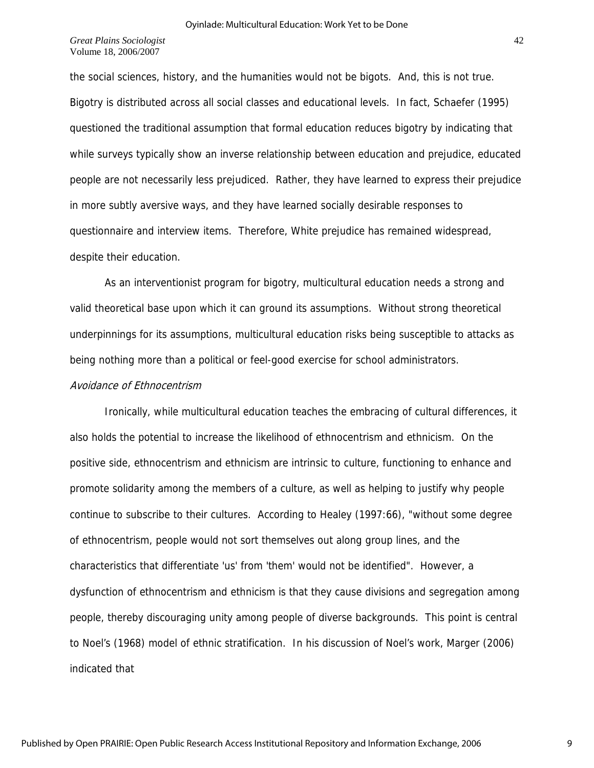the social sciences, history, and the humanities would not be bigots. And, this is not true. Bigotry is distributed across all social classes and educational levels. In fact, Schaefer (1995) questioned the traditional assumption that formal education reduces bigotry by indicating that while surveys typically show an inverse relationship between education and prejudice, educated people are not necessarily less prejudiced. Rather, they have learned to express their prejudice in more subtly aversive ways, and they have learned socially desirable responses to questionnaire and interview items. Therefore, White prejudice has remained widespread, despite their education.

As an interventionist program for bigotry, multicultural education needs a strong and valid theoretical base upon which it can ground its assumptions. Without strong theoretical underpinnings for its assumptions, multicultural education risks being susceptible to attacks as being nothing more than a political or feel-good exercise for school administrators.

## Avoidance of Ethnocentrism

 Ironically, while multicultural education teaches the embracing of cultural differences, it also holds the potential to increase the likelihood of ethnocentrism and ethnicism. On the positive side, ethnocentrism and ethnicism are intrinsic to culture, functioning to enhance and promote solidarity among the members of a culture, as well as helping to justify why people continue to subscribe to their cultures. According to Healey (1997:66), "without some degree of ethnocentrism, people would not sort themselves out along group lines, and the characteristics that differentiate 'us' from 'them' would not be identified". However, a dysfunction of ethnocentrism and ethnicism is that they cause divisions and segregation among people, thereby discouraging unity among people of diverse backgrounds. This point is central to Noel's (1968) model of ethnic stratification. In his discussion of Noel's work, Marger (2006) indicated that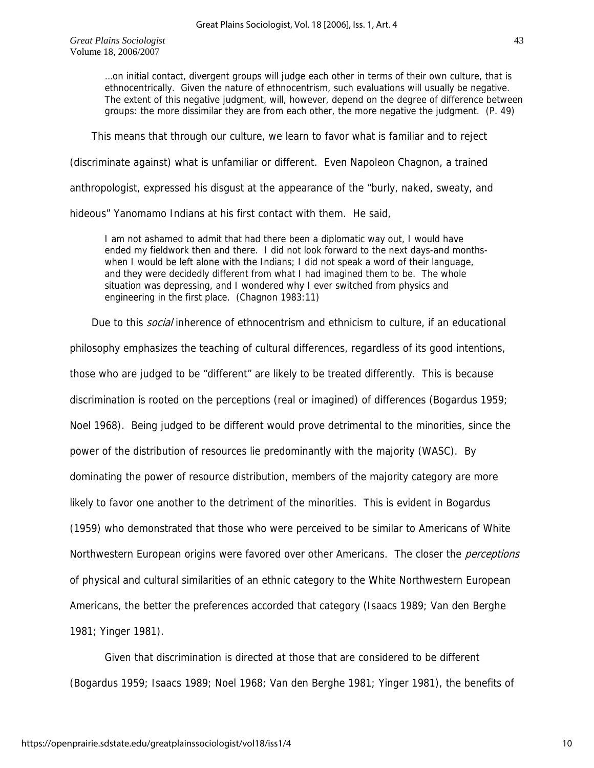> …on initial contact, divergent groups will judge each other in terms of their own culture, that is ethnocentrically. Given the nature of ethnocentrism, such evaluations will usually be negative. The extent of this negative judgment, will, however, depend on the degree of difference between groups: the more dissimilar they are from each other, the more negative the judgment. (P. 49)

This means that through our culture, we learn to favor what is familiar and to reject

(discriminate against) what is unfamiliar or different. Even Napoleon Chagnon, a trained

anthropologist, expressed his disgust at the appearance of the "burly, naked, sweaty, and

hideous" Yanomamo Indians at his first contact with them. He said,

I am not ashamed to admit that had there been a diplomatic way out, I would have ended my fieldwork then and there. I did not look forward to the next days-and monthswhen I would be left alone with the Indians; I did not speak a word of their language, and they were decidedly different from what I had imagined them to be. The whole situation was depressing, and I wondered why I ever switched from physics and engineering in the first place. (Chagnon 1983:11)

Due to this *social* inherence of ethnocentrism and ethnicism to culture, if an educational philosophy emphasizes the teaching of cultural differences, regardless of its good intentions, those who are judged to be "different" are likely to be treated differently. This is because discrimination is rooted on the perceptions (real or imagined) of differences (Bogardus 1959; Noel 1968). Being judged to be different would prove detrimental to the minorities, since the power of the distribution of resources lie predominantly with the majority (WASC). By dominating the power of resource distribution, members of the majority category are more likely to favor one another to the detriment of the minorities. This is evident in Bogardus (1959) who demonstrated that those who were perceived to be similar to Americans of White Northwestern European origins were favored over other Americans. The closer the *perceptions* of physical and cultural similarities of an ethnic category to the White Northwestern European Americans, the better the preferences accorded that category (Isaacs 1989; Van den Berghe 1981; Yinger 1981).

Given that discrimination is directed at those that are considered to be different (Bogardus 1959; Isaacs 1989; Noel 1968; Van den Berghe 1981; Yinger 1981), the benefits of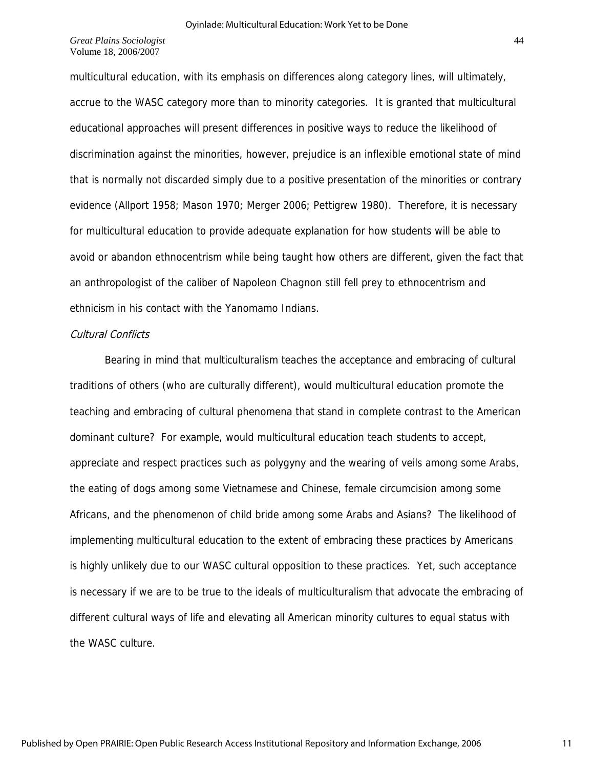multicultural education, with its emphasis on differences along category lines, will ultimately, accrue to the WASC category more than to minority categories. It is granted that multicultural educational approaches will present differences in positive ways to reduce the likelihood of discrimination against the minorities, however, prejudice is an inflexible emotional state of mind that is normally not discarded simply due to a positive presentation of the minorities or contrary evidence (Allport 1958; Mason 1970; Merger 2006; Pettigrew 1980). Therefore, it is necessary for multicultural education to provide adequate explanation for how students will be able to avoid or abandon ethnocentrism while being taught how others are different, given the fact that an anthropologist of the caliber of Napoleon Chagnon still fell prey to ethnocentrism and ethnicism in his contact with the Yanomamo Indians.

### Cultural Conflicts

 Bearing in mind that multiculturalism teaches the acceptance and embracing of cultural traditions of others (who are culturally different), would multicultural education promote the teaching and embracing of cultural phenomena that stand in complete contrast to the American dominant culture? For example, would multicultural education teach students to accept, appreciate and respect practices such as polygyny and the wearing of veils among some Arabs, the eating of dogs among some Vietnamese and Chinese, female circumcision among some Africans, and the phenomenon of child bride among some Arabs and Asians? The likelihood of implementing multicultural education to the extent of embracing these practices by Americans is highly unlikely due to our WASC cultural opposition to these practices. Yet, such acceptance is necessary if we are to be true to the ideals of multiculturalism that advocate the embracing of different cultural ways of life and elevating all American minority cultures to equal status with the WASC culture.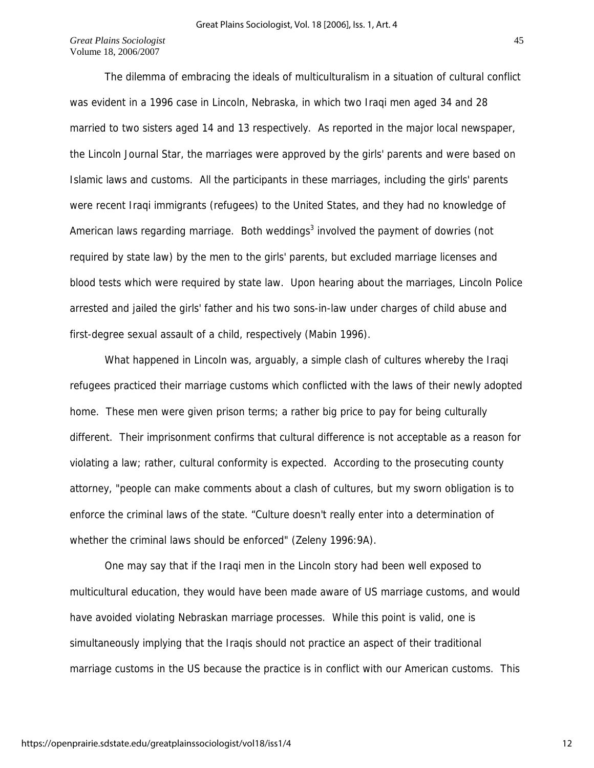The dilemma of embracing the ideals of multiculturalism in a situation of cultural conflict was evident in a 1996 case in Lincoln, Nebraska, in which two Iraqi men aged 34 and 28 married to two sisters aged 14 and 13 respectively. As reported in the major local newspaper, the Lincoln Journal Star, the marriages were approved by the girls' parents and were based on Islamic laws and customs. All the participants in these marriages, including the girls' parents were recent Iraqi immigrants (refugees) to the United States, and they had no knowledge of American laws regarding marriage. Both weddings<sup>3</sup> involved the payment of dowries (not required by state law) by the men to the girls' parents, but excluded marriage licenses and blood tests which were required by state law. Upon hearing about the marriages, Lincoln Police arrested and jailed the girls' father and his two sons-in-law under charges of child abuse and first-degree sexual assault of a child, respectively (Mabin 1996).

 What happened in Lincoln was, arguably, a simple clash of cultures whereby the Iraqi refugees practiced their marriage customs which conflicted with the laws of their newly adopted home. These men were given prison terms; a rather big price to pay for being culturally different. Their imprisonment confirms that cultural difference is not acceptable as a reason for violating a law; rather, cultural conformity is expected. According to the prosecuting county attorney, "people can make comments about a clash of cultures, but my sworn obligation is to enforce the criminal laws of the state. "Culture doesn't really enter into a determination of whether the criminal laws should be enforced" (Zeleny 1996:9A).

One may say that if the Iraqi men in the Lincoln story had been well exposed to multicultural education, they would have been made aware of US marriage customs, and would have avoided violating Nebraskan marriage processes. While this point is valid, one is simultaneously implying that the Iraqis should not practice an aspect of their traditional marriage customs in the US because the practice is in conflict with our American customs. This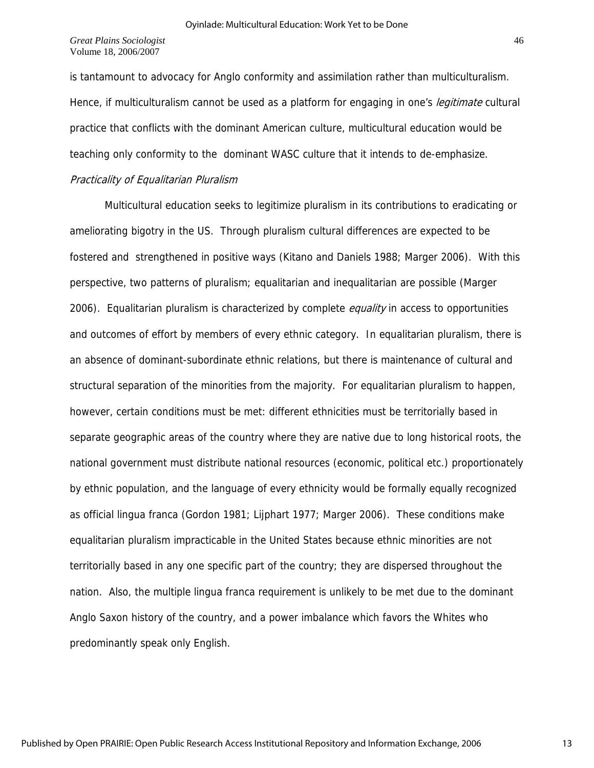is tantamount to advocacy for Anglo conformity and assimilation rather than multiculturalism. Hence, if multiculturalism cannot be used as a platform for engaging in one's *legitimate* cultural practice that conflicts with the dominant American culture, multicultural education would be teaching only conformity to the dominant WASC culture that it intends to de-emphasize.

## Practicality of Equalitarian Pluralism

Multicultural education seeks to legitimize pluralism in its contributions to eradicating or ameliorating bigotry in the US. Through pluralism cultural differences are expected to be fostered and strengthened in positive ways (Kitano and Daniels 1988; Marger 2006). With this perspective, two patterns of pluralism; equalitarian and inequalitarian are possible (Marger 2006). Equalitarian pluralism is characterized by complete *equality* in access to opportunities and outcomes of effort by members of every ethnic category. In equalitarian pluralism, there is an absence of dominant-subordinate ethnic relations, but there is maintenance of cultural and structural separation of the minorities from the majority. For equalitarian pluralism to happen, however, certain conditions must be met: different ethnicities must be territorially based in separate geographic areas of the country where they are native due to long historical roots, the national government must distribute national resources (economic, political etc.) proportionately by ethnic population, and the language of every ethnicity would be formally equally recognized as official lingua franca (Gordon 1981; Lijphart 1977; Marger 2006). These conditions make equalitarian pluralism impracticable in the United States because ethnic minorities are not territorially based in any one specific part of the country; they are dispersed throughout the nation. Also, the multiple lingua franca requirement is unlikely to be met due to the dominant Anglo Saxon history of the country, and a power imbalance which favors the Whites who predominantly speak only English.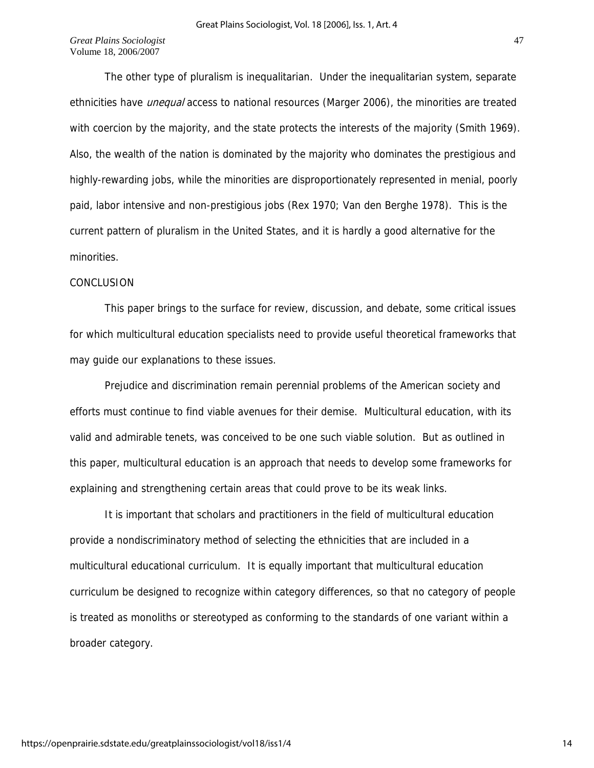The other type of pluralism is inequalitarian. Under the inequalitarian system, separate ethnicities have *unequal* access to national resources (Marger 2006), the minorities are treated with coercion by the majority, and the state protects the interests of the majority (Smith 1969). Also, the wealth of the nation is dominated by the majority who dominates the prestigious and highly-rewarding jobs, while the minorities are disproportionately represented in menial, poorly paid, labor intensive and non-prestigious jobs (Rex 1970; Van den Berghe 1978). This is the current pattern of pluralism in the United States, and it is hardly a good alternative for the minorities.

### CONCLUSION

This paper brings to the surface for review, discussion, and debate, some critical issues for which multicultural education specialists need to provide useful theoretical frameworks that may guide our explanations to these issues.

 Prejudice and discrimination remain perennial problems of the American society and efforts must continue to find viable avenues for their demise. Multicultural education, with its valid and admirable tenets, was conceived to be one such viable solution. But as outlined in this paper, multicultural education is an approach that needs to develop some frameworks for explaining and strengthening certain areas that could prove to be its weak links.

It is important that scholars and practitioners in the field of multicultural education provide a nondiscriminatory method of selecting the ethnicities that are included in a multicultural educational curriculum. It is equally important that multicultural education curriculum be designed to recognize within category differences, so that no category of people is treated as monoliths or stereotyped as conforming to the standards of one variant within a broader category.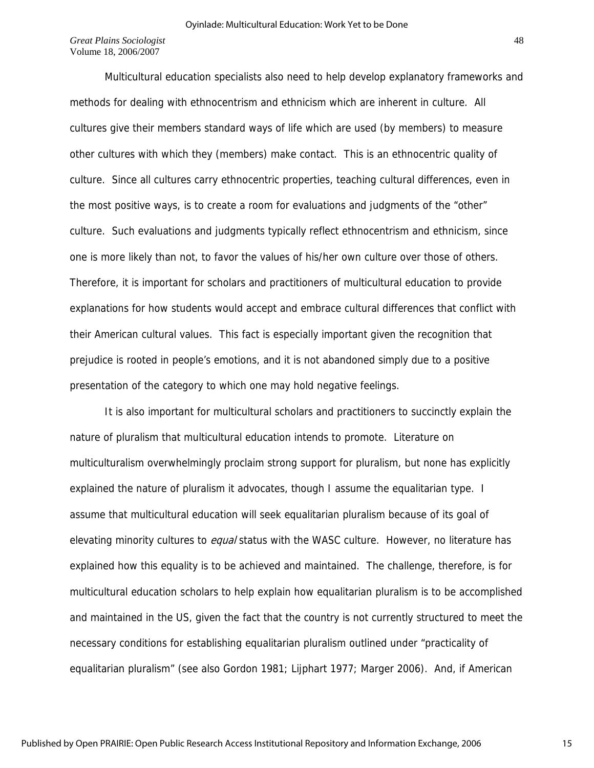Multicultural education specialists also need to help develop explanatory frameworks and methods for dealing with ethnocentrism and ethnicism which are inherent in culture. All cultures give their members standard ways of life which are used (by members) to measure other cultures with which they (members) make contact. This is an ethnocentric quality of culture. Since all cultures carry ethnocentric properties, teaching cultural differences, even in the most positive ways, is to create a room for evaluations and judgments of the "other" culture. Such evaluations and judgments typically reflect ethnocentrism and ethnicism, since one is more likely than not, to favor the values of his/her own culture over those of others. Therefore, it is important for scholars and practitioners of multicultural education to provide explanations for how students would accept and embrace cultural differences that conflict with their American cultural values. This fact is especially important given the recognition that prejudice is rooted in people's emotions, and it is not abandoned simply due to a positive presentation of the category to which one may hold negative feelings.

 It is also important for multicultural scholars and practitioners to succinctly explain the nature of pluralism that multicultural education intends to promote. Literature on multiculturalism overwhelmingly proclaim strong support for pluralism, but none has explicitly explained the nature of pluralism it advocates, though I assume the equalitarian type. I assume that multicultural education will seek equalitarian pluralism because of its goal of elevating minority cultures to *equal* status with the WASC culture. However, no literature has explained how this equality is to be achieved and maintained. The challenge, therefore, is for multicultural education scholars to help explain how equalitarian pluralism is to be accomplished and maintained in the US, given the fact that the country is not currently structured to meet the necessary conditions for establishing equalitarian pluralism outlined under "practicality of equalitarian pluralism" (see also Gordon 1981; Lijphart 1977; Marger 2006). And, if American

15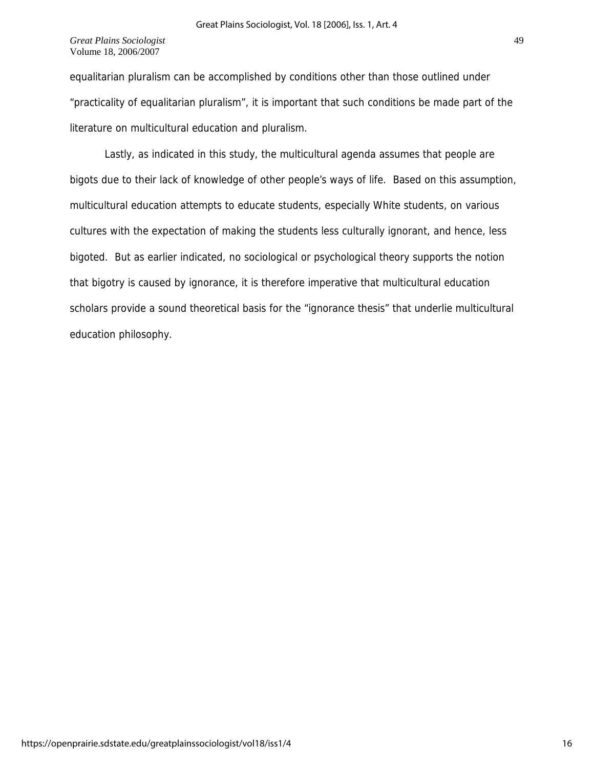equalitarian pluralism can be accomplished by conditions other than those outlined under "practicality of equalitarian pluralism", it is important that such conditions be made part of the literature on multicultural education and pluralism.

 Lastly, as indicated in this study, the multicultural agenda assumes that people are bigots due to their lack of knowledge of other people's ways of life. Based on this assumption, multicultural education attempts to educate students, especially White students, on various cultures with the expectation of making the students less culturally ignorant, and hence, less bigoted. But as earlier indicated, no sociological or psychological theory supports the notion that bigotry is caused by ignorance, it is therefore imperative that multicultural education scholars provide a sound theoretical basis for the "ignorance thesis" that underlie multicultural education philosophy.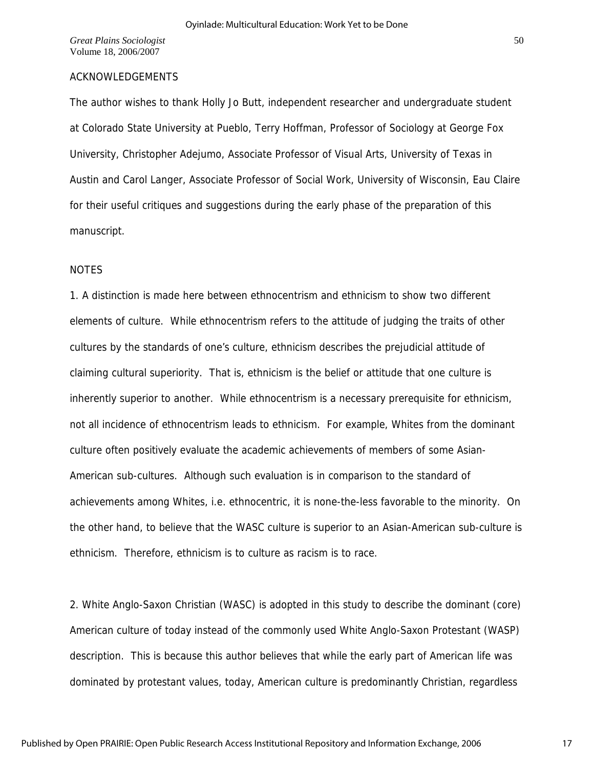## ACKNOWLEDGEMENTS

The author wishes to thank Holly Jo Butt, independent researcher and undergraduate student at Colorado State University at Pueblo, Terry Hoffman, Professor of Sociology at George Fox University, Christopher Adejumo, Associate Professor of Visual Arts, University of Texas in Austin and Carol Langer, Associate Professor of Social Work, University of Wisconsin, Eau Claire for their useful critiques and suggestions during the early phase of the preparation of this manuscript.

#### **NOTES**

1. A distinction is made here between ethnocentrism and ethnicism to show two different elements of culture. While ethnocentrism refers to the attitude of judging the traits of other cultures by the standards of one's culture, ethnicism describes the prejudicial attitude of claiming cultural superiority. That is, ethnicism is the belief or attitude that one culture is inherently superior to another. While ethnocentrism is a necessary prerequisite for ethnicism, not all incidence of ethnocentrism leads to ethnicism. For example, Whites from the dominant culture often positively evaluate the academic achievements of members of some Asian-American sub-cultures. Although such evaluation is in comparison to the standard of achievements among Whites, i.e. ethnocentric, it is none-the-less favorable to the minority. On the other hand, to believe that the WASC culture is superior to an Asian-American sub-culture is ethnicism. Therefore, ethnicism is to culture as racism is to race.

2. White Anglo-Saxon Christian (WASC) is adopted in this study to describe the dominant (core) American culture of today instead of the commonly used White Anglo-Saxon Protestant (WASP) description. This is because this author believes that while the early part of American life was dominated by protestant values, today, American culture is predominantly Christian, regardless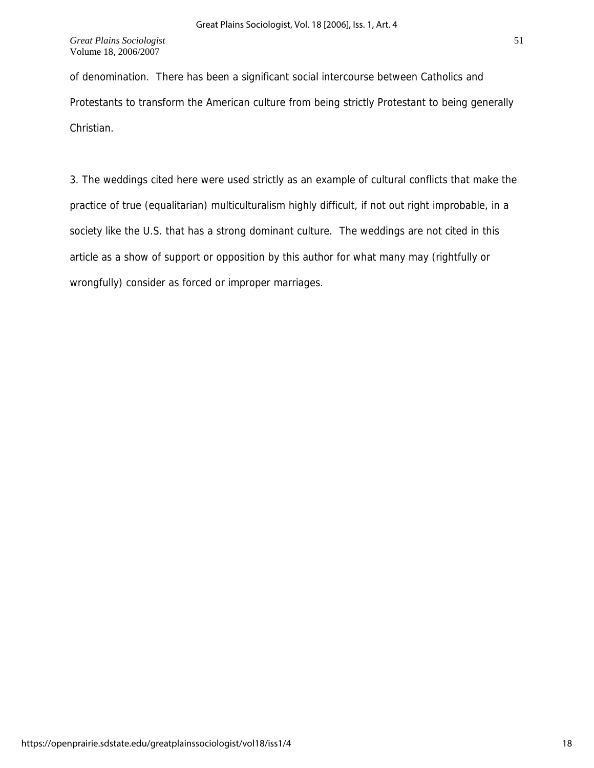of denomination. There has been a significant social intercourse between Catholics and Protestants to transform the American culture from being strictly Protestant to being generally Christian.

3. The weddings cited here were used strictly as an example of cultural conflicts that make the practice of true (equalitarian) multiculturalism highly difficult, if not out right improbable, in a society like the U.S. that has a strong dominant culture. The weddings are not cited in this article as a show of support or opposition by this author for what many may (rightfully or wrongfully) consider as forced or improper marriages.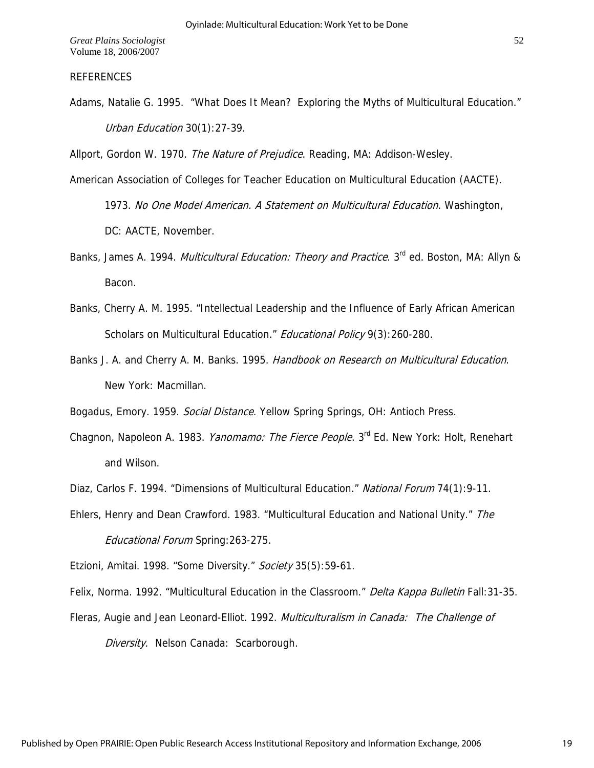### REFERENCES

Adams, Natalie G. 1995. "What Does It Mean? Exploring the Myths of Multicultural Education." Urban Education 30(1):27-39.

Allport, Gordon W. 1970. The Nature of Prejudice. Reading, MA: Addison-Wesley.

American Association of Colleges for Teacher Education on Multicultural Education (AACTE).

1973. No One Model American. A Statement on Multicultural Education. Washington, DC: AACTE, November.

- Banks, James A. 1994. *Multicultural Education: Theory and Practice*. 3<sup>rd</sup> ed. Boston, MA: Allyn & Bacon.
- Banks, Cherry A. M. 1995. "Intellectual Leadership and the Influence of Early African American Scholars on Multicultural Education." Educational Policy 9(3):260-280.
- Banks J. A. and Cherry A. M. Banks. 1995. Handbook on Research on Multicultural Education. New York: Macmillan.

Bogadus, Emory. 1959. Social Distance. Yellow Spring Springs, OH: Antioch Press.

- Chagnon, Napoleon A. 1983. *Yanomamo: The Fierce People*. 3<sup>rd</sup> Ed. New York: Holt, Renehart and Wilson.
- Diaz, Carlos F. 1994. "Dimensions of Multicultural Education." National Forum 74(1):9-11.
- Educational Forum Spring: 263-275. Ehlers, Henry and Dean Crawford. 1983. "Multicultural Education and National Unity." The

Etzioni, Amitai. 1998. "Some Diversity." Society 35(5):59-61.

Felix, Norma. 1992. "Multicultural Education in the Classroom." Delta Kappa Bulletin Fall: 31-35.

Fleras, Augie and Jean Leonard-Elliot. 1992. Multiculturalism in Canada: The Challenge of

Diversity. Nelson Canada: Scarborough.